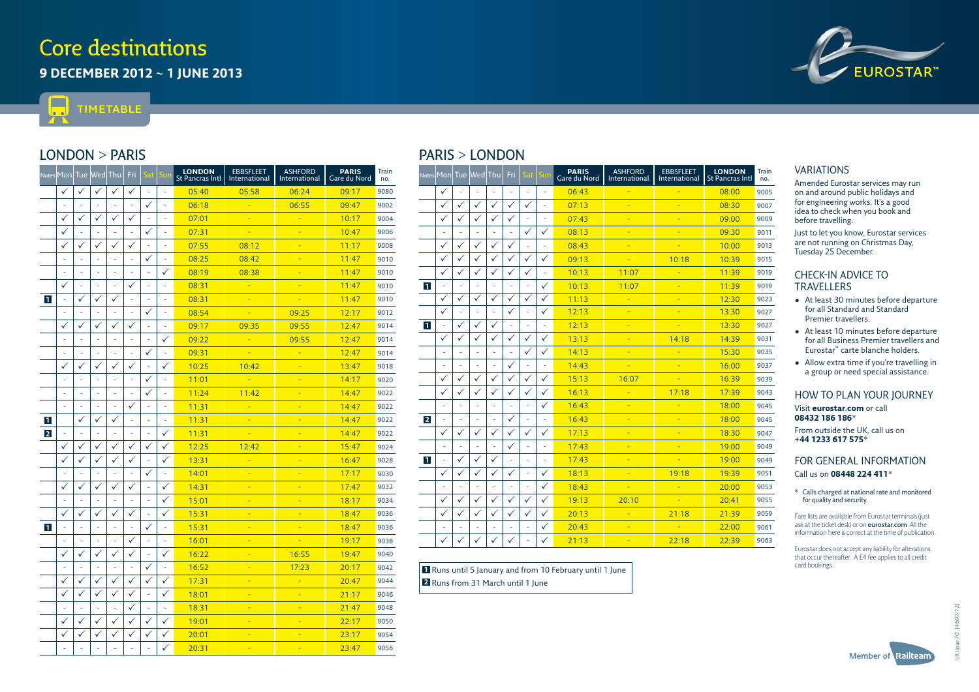# **Core destinations**

**9 december 2012 ~ 1 june 2013**



m **timetable** L.

## **London > Paris**

|                | Notes Mon                |                | Tue Wed        | Thu            | Fri                      | Sat            | iur                      | <b>LONDON</b><br><b>St Pancras Intl</b> | <b>EBBSFLEET</b><br>International | <b>ASHFORD</b><br>International | <b>PARIS</b><br>Gare du Nord | Train<br>no. |
|----------------|--------------------------|----------------|----------------|----------------|--------------------------|----------------|--------------------------|-----------------------------------------|-----------------------------------|---------------------------------|------------------------------|--------------|
|                | ✓                        | ✓              | ✓              | ✓              | ✓                        | L,             | L,                       | 05:40                                   | 05:58                             | 06:24                           | 09:17                        | 9080         |
|                | J.                       | L,             | L.             | $\overline{a}$ | L.                       | $\checkmark$   | L,                       | 06:18                                   |                                   | 06:55                           | 09:47                        | 9002         |
|                | ✓                        | $\checkmark$   | ✓              | ✓              | $\checkmark$             | L,             | L,                       | 07:01                                   | Ξ                                 |                                 | 10:17                        | 9004         |
|                | $\checkmark$             | L.             | ÷,             | L,             | ÷,                       | $\checkmark$   | J.                       | 07:31                                   | i.                                | ٠                               | 10:47                        | 9006         |
|                | ✓                        | ✓              | ✓              | ✓              |                          |                | Ē,                       | 07:55                                   | 08:12                             | ٠                               | 11:17                        | 9008         |
|                |                          |                | ÷,             | ÷,             |                          | ✓              |                          | 08:25                                   | 08:42                             | ÷                               | 11:47                        | 9010         |
|                | Î,                       | J.             | ÷,             | L,             | Î,                       | J.             | ✓                        | 08:19                                   | 08:38                             | Ξ                               | 11:47                        | 9010         |
|                | $\checkmark$             | L,             | ÷,             | ÷              |                          | L,             | J.                       | 08:31                                   | ÷                                 | ٠                               | 11:47                        | 9010         |
| $\vert$ 1      | ÷,                       | $\checkmark$   | ✓              | ✓              | ÷,                       | L,             | ÷,                       | 08:31                                   | ÷                                 | Ξ                               | 11:47                        | 9010         |
|                | $\overline{\phantom{a}}$ | ÷              | $\blacksquare$ | ÷,             | $\overline{\phantom{a}}$ | ✓              | $\overline{\phantom{a}}$ | 08:54                                   | ÷                                 | 09:25                           | 12:17                        | 9012         |
|                | ✓                        | ✓              | ✓              | ✓              | ✓                        | ÷,             | $\blacksquare$           | 09:17                                   | 09:35                             | 09:55                           | 12:47                        | 9014         |
|                | ÷,                       | ÷,             | ÷              | $\overline{a}$ | ÷,                       | $\overline{a}$ | ✓                        | 09:22                                   | ÷                                 | 09:55                           | 12:47                        | 9014         |
|                | ٠                        | ä,             | ÷              | ÷,             | ÷,                       | ✓              | ÷,                       | 09:31                                   | Ξ                                 | ÷                               | 12:47                        | 9014         |
|                | $\checkmark$             | $\checkmark$   | $\checkmark$   | $\checkmark$   | $\checkmark$             | L,             | ✓                        | 10:25                                   | 10:42                             | ٠                               | 13:47                        | 9018         |
|                | ÷,                       | ä,             | ÷,             | ä,             | ٠                        | ✓              | ÷                        | 11:01                                   | Ξ                                 | ٠                               | 14:17                        | 9020         |
|                | ÷                        | L,             | ÷,             | ä,             | J.                       | ✓              | $\overline{a}$           | 11:24                                   | 11:42                             |                                 | 14:47                        | 9022         |
|                | ÷,                       | L,             | ÷              | Ξ              | ✓                        | $\overline{a}$ | ÷,                       | 11:31                                   | i.                                |                                 | 14:47                        | 9022         |
| $\mathbf{1}$   |                          | $\checkmark$   | $\checkmark$   | ✓              | ÷,                       | $\overline{a}$ | ÷,                       | 11:31                                   | ÷                                 | Ξ                               | 14:47                        | 9022         |
| $\overline{2}$ | ÷                        | $\overline{a}$ | ÷              | L,             | ÷,                       | $\overline{a}$ | ✓                        | 11:31                                   | L                                 | i,                              | 14:47                        | 9022         |
|                | ✓                        | $\checkmark$   | ✓              | ✓              | ✓                        | ✓              | ✓                        | 12:25                                   | 12:42                             | ٠                               | 15:47                        | 9024         |
|                |                          |                | $\checkmark$   | $\checkmark$   | ✓                        | ÷,             | $\checkmark$             | 13:31                                   | ı.                                | ÷                               | 16:47                        | 9028         |
|                |                          | Ē,             | $\overline{a}$ | ÷,             | $\overline{a}$           | $\checkmark$   | ÷,                       | 14:01                                   | ٠                                 | Ξ                               | 17:17                        | 9030         |
|                | ✓                        | ✓              | ✓              | $\checkmark$   | ✓                        | ä,             | ✓                        | 14:31                                   | ۰                                 |                                 | 17:47                        | 9032         |
|                |                          |                |                | Ξ              |                          | L,             | ✓                        | 15:01                                   | Ξ                                 | ٠                               | 18:17                        | 9034         |
|                | ✓                        | ✓              | ✓              | ✓              | ✓                        | Ξ              | ✓                        | 15:31                                   | ٠                                 | ٠                               | 18:47                        | 9036         |
| $\mathbf{1}$   | Î.                       | L,             | L.             | $\overline{a}$ | J.                       | ✓              | J.                       | 15:31                                   | ٠                                 | ٠                               | 18:47                        | 9036         |
|                |                          | ÷              | J.             | L,             | $\checkmark$             | L,             | ÷,                       | 16:01                                   | Ξ                                 |                                 | 19:17                        | 9038         |
|                | $\checkmark$             | ✓              | ✓              | ✓              | ✓                        | í.             | ✓                        | 16:22                                   | Ξ                                 | 16:55                           | 19:47                        | 9040         |
|                |                          |                |                | ÷,             |                          | ✓              |                          | 16:52                                   | ÷                                 | 17:23                           | 20:17                        | 9042         |
|                | ✓                        | ✓              | $\checkmark$   | ✓              | ✓                        | ✓              | ✓                        | 17:31                                   | ۳                                 | ٠                               | 20:47                        | 9044         |
|                | ✓                        | $\checkmark$   | $\checkmark$   | ✓              | ✓                        | J.             | ✓                        | 18:01                                   | ÷                                 | ٠                               | 21:17                        | 9046         |
|                | ÷,                       | ä,             | ÷,             | ÷,             |                          | ä,             | ÷                        | 18:31                                   | Ξ                                 | ٠                               | 21:47                        | 9048         |
|                | ✓                        | ✓              | ✓              | $\checkmark$   | ✓                        | ✓              | ✓                        | 19:01                                   | Ξ                                 | ٠                               | 22:17                        | 9050         |
|                | ✓                        | ✓              | ✓              | $\checkmark$   | ✓                        | ✓              | ✓                        | 20:01                                   | ۳                                 | i.                              | 23:17                        | 9054         |
|                | ÷,                       | ÷              | ÷,             | ÷,             | ÷,                       | L,             | ✓                        | 20:31                                   | Ξ                                 | Ξ                               | 23:47                        | 9056         |
|                |                          |                |                |                |                          |                |                          |                                         |                                   |                                 |                              |              |

# **Paris > London**

| <b>Notes</b>   | Monl Tue     |              | lWedl          | Thu          | Fri            | Sat            | iun                      | <b>PARIS</b><br><b>Gare du Nord</b> | <b>ASHFORD</b><br>International | <b>EBBSFLEET</b><br>International | <b>LONDON</b><br><b>St Pancras Intl</b> | Train<br>no. |
|----------------|--------------|--------------|----------------|--------------|----------------|----------------|--------------------------|-------------------------------------|---------------------------------|-----------------------------------|-----------------------------------------|--------------|
|                | ✓            |              |                |              |                |                | ÷.                       | 06:43                               |                                 |                                   | 08:00                                   | 9005         |
|                | ✓            | ✓            | ✓              | $\checkmark$ | $\checkmark$   | ✓              | ÷,                       | 07:13                               |                                 |                                   | 08:30                                   | 9007         |
|                | $\checkmark$ | ✓            | $\checkmark$   | $\checkmark$ | $\checkmark$   | L,             | ä,                       | 07:43                               | ۳                               | ٠                                 | 09:00                                   | 9009         |
|                |              | ä,           |                |              | L,             | ✓              | $\checkmark$             | 08:13                               | Ξ                               |                                   | 09:30                                   | 9011         |
|                | $\checkmark$ | ✓            | $\checkmark$   | ✓            | $\checkmark$   | $\overline{a}$ | ÷,                       | 08:43                               | Ξ                               | Ξ                                 | 10:00                                   | 9013         |
|                | ✓            | ✓            | $\checkmark$   | $\checkmark$ | ✓              | ✓              | ✓                        | 09:13                               |                                 | 10:18                             | 10:39                                   | 9015         |
|                | ✓            | ✓            | $\checkmark$   | $\checkmark$ | $\checkmark$   | $\checkmark$   | ÷,                       | 10:13                               | 11:07                           |                                   | 11:39                                   | 9019         |
| $\overline{1}$ | L,           | ٠            | ÷,             | L,           | ÷,             | ÷,             | $\checkmark$             | 10:13                               | 11:07                           | ۳                                 | 11:39                                   | 9019         |
|                | ✓            | ✓            | $\checkmark$   | ✓            | $\checkmark$   | $\checkmark$   | $\checkmark$             | 11:13                               |                                 | ٠                                 | 12:30                                   | 9023         |
|                | $\checkmark$ | ÷            | ÷              | ÷            | $\checkmark$   | L,             | ✓                        | 12:13                               | ۳                               | ٠                                 | 13:30                                   | 9027         |
| $\vert$ 1      | ä,           | $\checkmark$ | $\checkmark$   | $\checkmark$ | L,             | ÷,             | ٠                        | 12:13                               | ٠                               | ٠                                 | 13:30                                   | 9027         |
|                | $\checkmark$ | $\checkmark$ | $\checkmark$   | $\checkmark$ | $\checkmark$   | $\checkmark$   | $\checkmark$             | 13:13                               | ۳                               | 14:18                             | 14:39                                   | 9031         |
|                |              | L            | $\overline{a}$ |              | L.             | $\checkmark$   | ✓                        | 14:13                               | ٠                               | ٠                                 | 15:30                                   | 9035         |
|                |              | L,           | ÷,             | L            | ✓              | ÷,             | $\overline{\phantom{a}}$ | 14:43                               | ٠                               | ٠                                 | 16:00                                   | 9037         |
|                | ✓            | ✓            | $\checkmark$   | ✓            | $\checkmark$   | $\checkmark$   | $\checkmark$             | 15:13                               | 16:07                           |                                   | 16:39                                   | 9039         |
|                | $\checkmark$ | $\checkmark$ | $\checkmark$   | $\checkmark$ | $\checkmark$   | $\checkmark$   | ✓                        | 16:13                               | ٠                               | 17:18                             | 17:39                                   | 9043         |
|                | ä,           |              | L,             |              |                | ÷,             | ✓                        | 16:43                               | Ξ                               | Ξ                                 | 18:00                                   | 9045         |
| $\overline{2}$ |              | ٠            | L,             | L            | ✓              | L,             | ٠                        | 16:43                               | Ξ                               | ٠                                 | 18:00                                   | 9045         |
|                | ✓            | ✓            | ✓              | $\checkmark$ | $\checkmark$   | $\checkmark$   | ✓                        | 17:13                               | Ξ                               |                                   | 18:30                                   | 9047         |
|                | ٠            | L            | ٠              | L            | $\checkmark$   | L,             | ÷,                       | 17:43                               | Ξ                               | ٠                                 | 19:00                                   | 9049         |
| 11             | ÷            | $\checkmark$ | $\checkmark$   | $\checkmark$ | ÷              | ÷,             | ٠                        | 17:43                               |                                 | ٠                                 | 19:00                                   | 9049         |
|                | $\checkmark$ | ✓            | $\checkmark$   | ✓            | $\checkmark$   | ÷              | ✓                        | 18:13                               | ٠                               | 19:18                             | 19:39                                   | 9051         |
|                |              | L            | $\overline{a}$ |              | L.             | L,             | ✓                        | 18:43                               |                                 | ٠                                 | 20:00                                   | 9053         |
|                | $\checkmark$ | ✓            | $\checkmark$   | $\checkmark$ | $\checkmark$   | $\checkmark$   | ✓                        | 19:13                               | 20:10                           |                                   | 20:41                                   | 9055         |
|                | $\checkmark$ | $\checkmark$ | $\checkmark$   | $\checkmark$ | $\checkmark$   | $\checkmark$   | ✓                        | 20:13                               |                                 | 21:18                             | 21:39                                   | 9059         |
|                |              | ÷            | $\overline{a}$ |              | $\overline{a}$ | L,             | $\checkmark$             | 20:43                               |                                 |                                   | 22:00                                   | 9061         |
|                | ✓            | ✓            | ✓              | $\checkmark$ | $\checkmark$   | ÷,             | ✓                        | 21:13                               | Ξ                               | 22:18                             | 22:39                                   | 9063         |

### **1** Runs until 5 January and from 10 February until 1 June **2** Runs from 31 March until 1 lune

### **VARIATIONS**

Amended Eurostar services may run on and around public holidays and for engineering works. It's a good idea to check when you book and before travelling.

Just to let you know, Eurostar services are not running on Christmas Day, Tuesday 25 December.

#### Check-in advice to **TRAVELLERS**

- At least 30 minutes before departure for all Standard and Standard Premier travellers.
- At least 10 minutes before departure for all Business Premier travellers and Eurostar™ carte blanche holders.
- Allow extra time if you're travelling in a group or need special assistance.

### how to plan your journey

Visit **eurostar.com** or call **08432 186 186**\*

From outside the UK, call us on **+44 1233 617 575**\*

### FOR GENERAL information Call us on **08448 224 411**\*

\* Calls charged at national rate and monitored for quality and security.

Fare lists are available from Eurostar terminals (just ask at the ticket desk) or on **eurostar.com**. All the information here is correct at the time of publication.

Eurostar does not accept any liability for alterations that occur thereafter. A £4 fee applies to all credit card bookings.